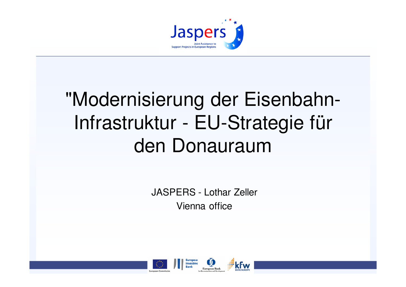

# "Modernisierung der Eisenbahn-Infrastruktur - EU-Strategie für den Donauraum

JASPERS - Lothar ZellerVienna office

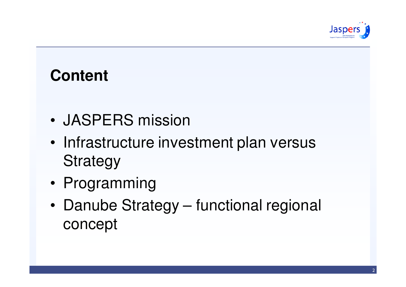

## **Content**

- •JASPERS mission
- • Infrastructure investment plan versus **Strategy**
- •Programming
- • Danube Strategy – functional regional concept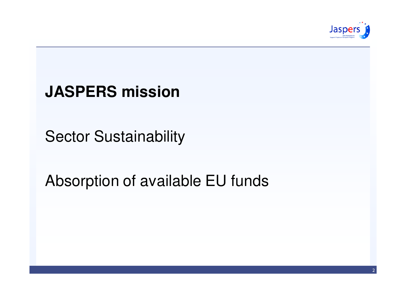

## **JASPERS mission**

Sector Sustainability

## Absorption of available EU funds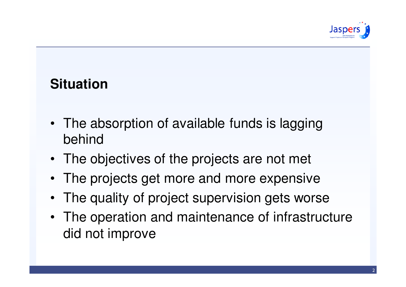

#### **Situation**

- The absorption of available funds is lagging behind
- The objectives of the projects are not met
- The projects get more and more expensive
- The quality of project supervision gets worse
- The operation and maintenance of infrastructure did not improve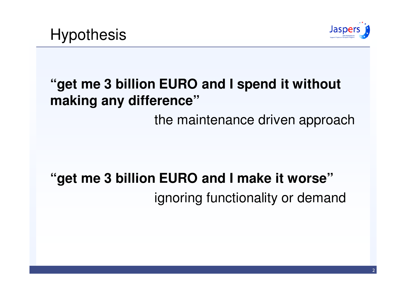

## **"get me 3 billion EURO and I spend it without making any difference"**

the maintenance driven approach

# **"get me 3 billion EURO and I make it worse"**ignoring functionality or demand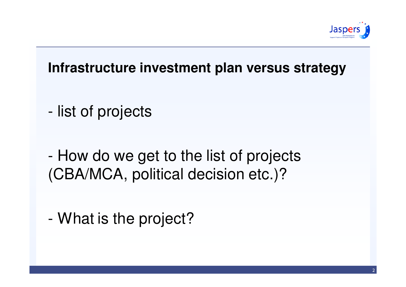

#### **Infrastructure investment plan versus strategy**

- list of projects
- - How do we get to the list of projects (CBA/MCA, political decision etc.)?
- -What is the project?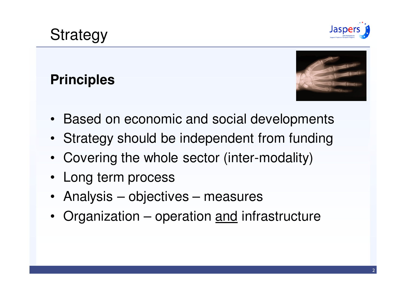

## **Strategy**

#### **Principles**



- Based on economic and social developments
- Strategy should be independent from funding
- Covering the whole sector (inter-modality)
- Long term process
- Analysis objectives measures
- Organization operation <u>and</u> infrastructure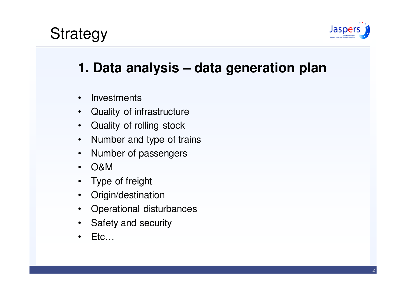

#### **1. Data analysis – data generation plan**

- •**Investments**
- •Quality of infrastructure
- Quality of rolling stock•
- •Number and type of trains
- •Number of passengers
- •O&M
- Type of freight •
- •Origin/destination
- •Operational disturbances
- •Safety and security
- •Etc…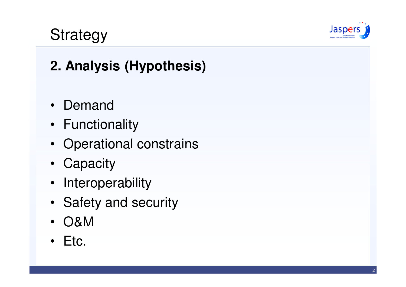

# **Strategy**

## **2. Analysis (Hypothesis)**

- Demand
- Functionality
- Operational constrains
- Capacity
- Interoperability
- Safety and security
- $\bullet$ O&M
- Etc.  $\bullet$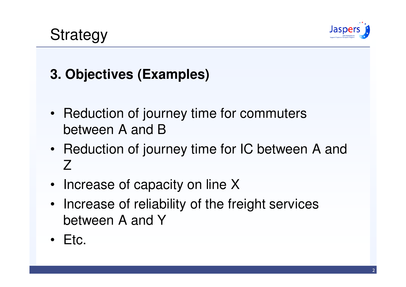

# Strategy

## **3. Objectives (Examples)**

- Reduction of journey time for commuters between A and B
- Reduction of journey time for IC between A and Z
- Increase of capacity on line X
- Increase of reliability of the freight services between A and Y
- Etc.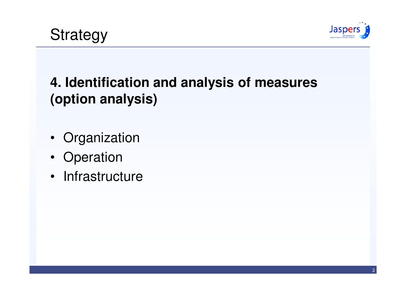

#### **4. Identification and analysis of measures (option analysis)**

- Organization
- Operation
- Infrastructure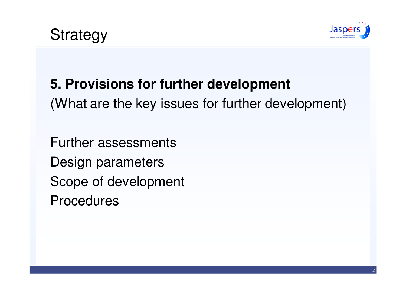

#### **5. Provisions for further development**

(What are the key issues for further development)

Further assessmentsDesign parametersScope of developmentProcedures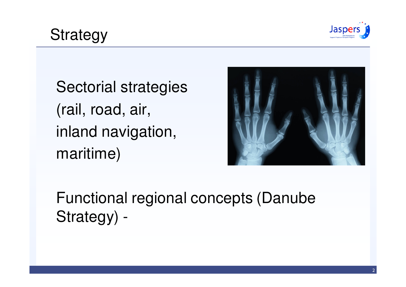

Sectorial strategies (rail, road, air, inland navigation, maritime)



Functional regional concepts (Danube Strategy) -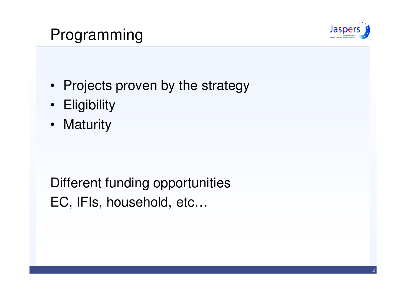## Programming



- Projects proven by the strategy
- Eligibility
- Maturity

Different funding opportunitiesEC, IFIs, household, etc…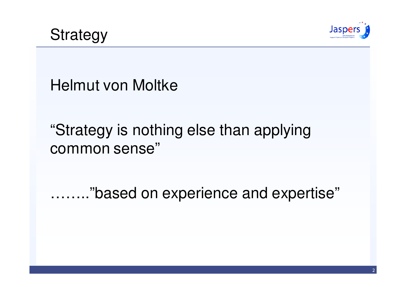

Helmut von Moltke

# "Strategy is nothing else than applying common sense"

…….."based on experience and expertise"